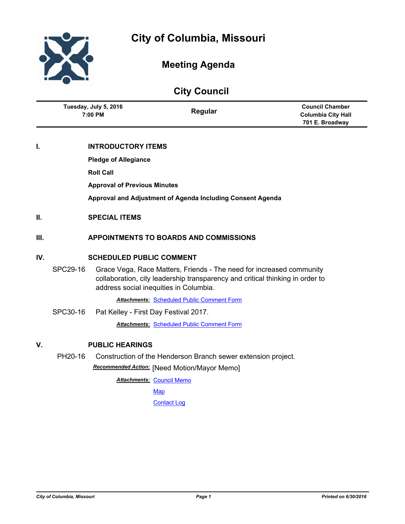

# **Meeting Agenda**

| <b>City Council</b> |                                  |                                     |                                                                                                                                                                                                 |                                                                        |
|---------------------|----------------------------------|-------------------------------------|-------------------------------------------------------------------------------------------------------------------------------------------------------------------------------------------------|------------------------------------------------------------------------|
|                     | Tuesday, July 5, 2016<br>7:00 PM |                                     | Regular                                                                                                                                                                                         | <b>Council Chamber</b><br><b>Columbia City Hall</b><br>701 E. Broadway |
| I.                  |                                  | <b>INTRODUCTORY ITEMS</b>           |                                                                                                                                                                                                 |                                                                        |
|                     |                                  | <b>Pledge of Allegiance</b>         |                                                                                                                                                                                                 |                                                                        |
|                     |                                  | <b>Roll Call</b>                    |                                                                                                                                                                                                 |                                                                        |
|                     |                                  | <b>Approval of Previous Minutes</b> |                                                                                                                                                                                                 |                                                                        |
|                     |                                  |                                     | Approval and Adjustment of Agenda Including Consent Agenda                                                                                                                                      |                                                                        |
| II.                 |                                  | <b>SPECIAL ITEMS</b>                |                                                                                                                                                                                                 |                                                                        |
| III.                |                                  |                                     | <b>APPOINTMENTS TO BOARDS AND COMMISSIONS</b>                                                                                                                                                   |                                                                        |
| IV.                 | <b>SCHEDULED PUBLIC COMMENT</b>  |                                     |                                                                                                                                                                                                 |                                                                        |
|                     | SPC29-16                         |                                     | Grace Vega, Race Matters, Friends - The need for increased community<br>collaboration, city leadership transparency and critical thinking in order to<br>address social inequities in Columbia. |                                                                        |
|                     |                                  |                                     | <b>Attachments: Scheduled Public Comment Form</b>                                                                                                                                               |                                                                        |
|                     | SPC30-16                         |                                     | Pat Kelley - First Day Festival 2017.                                                                                                                                                           |                                                                        |
|                     |                                  |                                     | <b>Attachments: Scheduled Public Comment Form</b>                                                                                                                                               |                                                                        |
| V.                  | <b>PUBLIC HEARINGS</b>           |                                     |                                                                                                                                                                                                 |                                                                        |
|                     | PH20-16                          |                                     | Construction of the Henderson Branch sewer extension project.                                                                                                                                   |                                                                        |
|                     |                                  |                                     |                                                                                                                                                                                                 |                                                                        |

*Recommended Action:* [Need Motion/Mayor Memo]

**Attachments: [Council Memo](http://gocolumbiamo.legistar.com/gateway.aspx?M=F&ID=18db7bad-6996-492a-b65f-d91ea7857305.docx)** 

**[Map](http://gocolumbiamo.legistar.com/gateway.aspx?M=F&ID=526ae1a4-aae2-404d-ae31-0ca3abfae542.pdf)** 

**[Contact Log](http://gocolumbiamo.legistar.com/gateway.aspx?M=F&ID=d9817d51-8ea9-4980-9774-c9c55e2dc932.pdf)**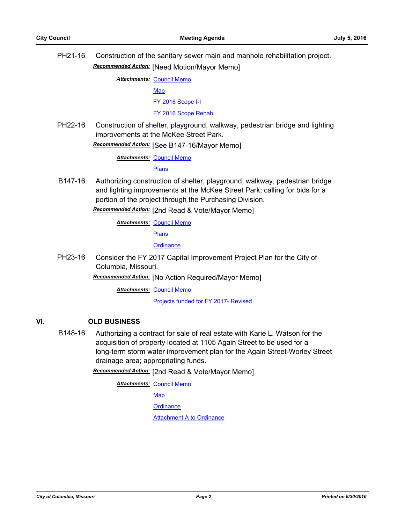PH21-16 Construction of the sanitary sewer main and manhole rehabilitation project. *Recommended Action:* [Need Motion/Mayor Memo]

**Attachments: [Council Memo](http://gocolumbiamo.legistar.com/gateway.aspx?M=F&ID=6699adac-64b1-4f8b-a0cf-c6df43fcb30d.docx)** 

[Map](http://gocolumbiamo.legistar.com/gateway.aspx?M=F&ID=125c7e1b-c127-40d7-9fd6-602ce7bb71c5.pdf)

[FY 2016 Scope I-I](http://gocolumbiamo.legistar.com/gateway.aspx?M=F&ID=fb56cb1c-0626-4742-af63-668963a468e0.pdf)

[FY 2016 Scope Rehab](http://gocolumbiamo.legistar.com/gateway.aspx?M=F&ID=351e8a1c-e222-4a1a-a1d6-6c893b7a6d36.pdf)

PH22-16 Construction of shelter, playground, walkway, pedestrian bridge and lighting improvements at the McKee Street Park.

*Recommended Action:* [See B147-16/Mayor Memo]

**Attachments: [Council Memo](http://gocolumbiamo.legistar.com/gateway.aspx?M=F&ID=3a1048fb-77fe-454f-9cc9-e35e71c1450b.docx)** 

[Plans](http://gocolumbiamo.legistar.com/gateway.aspx?M=F&ID=92779681-3670-4df2-baca-e6eaab702e91.pdf)

B147-16 Authorizing construction of shelter, playground, walkway, pedestrian bridge and lighting improvements at the McKee Street Park; calling for bids for a portion of the project through the Purchasing Division.

*Recommended Action:* [2nd Read & Vote/Mayor Memo]

**Attachments: [Council Memo](http://gocolumbiamo.legistar.com/gateway.aspx?M=F&ID=056b0227-0ca7-460e-bc01-38a639bd86ea.docx)** 

[Plans](http://gocolumbiamo.legistar.com/gateway.aspx?M=F&ID=1af6f40b-a51b-4e28-88e8-16f0a637743a.pdf)

**[Ordinance](http://gocolumbiamo.legistar.com/gateway.aspx?M=F&ID=8330720e-a013-4cf8-9833-fe21aa4b4a84.doc)** 

PH23-16 Consider the FY 2017 Capital Improvement Project Plan for the City of Columbia, Missouri.

*Recommended Action:* [No Action Required/Mayor Memo]

**Attachments: [Council Memo](http://gocolumbiamo.legistar.com/gateway.aspx?M=F&ID=a578cf2c-bb87-4624-87ce-8cd7c8dfcf88.docx)** 

[Projects funded for FY 2017- Revised](http://gocolumbiamo.legistar.com/gateway.aspx?M=F&ID=efa62dac-58fe-4c17-b3b7-4023f66385d8.pdf)

## **VI. OLD BUSINESS**

B148-16 Authorizing a contract for sale of real estate with Karie L. Watson for the acquisition of property located at 1105 Again Street to be used for a long-term storm water improvement plan for the Again Street-Worley Street drainage area; appropriating funds.

*Recommended Action:* [2nd Read & Vote/Mayor Memo]

**Attachments: [Council Memo](http://gocolumbiamo.legistar.com/gateway.aspx?M=F&ID=bbce2955-8890-4c10-be7b-fb80561b1770.docx)** 

[Map](http://gocolumbiamo.legistar.com/gateway.aspx?M=F&ID=764e62f4-911e-4623-8b74-7ce89bd9ae87.jpg)

**[Ordinance](http://gocolumbiamo.legistar.com/gateway.aspx?M=F&ID=8806aedd-052e-462e-9180-2826010268e4.doc)** 

[Attachment A to Ordinance](http://gocolumbiamo.legistar.com/gateway.aspx?M=F&ID=10d8ae0c-1688-4004-af7f-87bcf41237a6.pdf)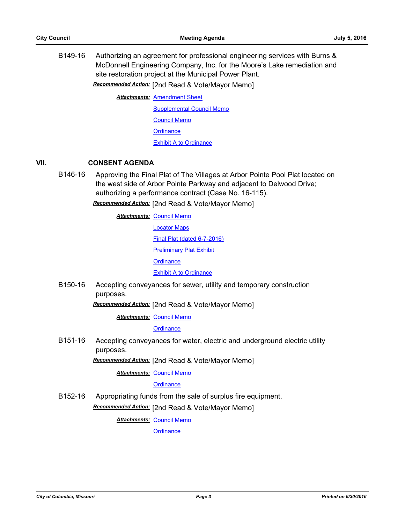B149-16 Authorizing an agreement for professional engineering services with Burns & McDonnell Engineering Company, Inc. for the Moore's Lake remediation and site restoration project at the Municipal Power Plant.

*Recommended Action:* [2nd Read & Vote/Mayor Memo]

**Attachments: [Amendment Sheet](http://gocolumbiamo.legistar.com/gateway.aspx?M=F&ID=64a1eec7-2dc8-4724-b38a-b119f07444f8.pdf)** 

[Supplemental Council Memo](http://gocolumbiamo.legistar.com/gateway.aspx?M=F&ID=7f1aec94-cb7a-4610-b5f6-51f5d3513c4a.docx)

[Council Memo](http://gocolumbiamo.legistar.com/gateway.aspx?M=F&ID=0c6f366c-7644-4db9-9efb-e54d5e7d9a8b.docx)

**[Ordinance](http://gocolumbiamo.legistar.com/gateway.aspx?M=F&ID=13269f86-220d-46d3-bc0b-4c91c63327be.doc)** 

**[Exhibit A to Ordinance](http://gocolumbiamo.legistar.com/gateway.aspx?M=F&ID=0890c0ce-ef92-44d2-95d3-d9d20fcde442.pdf)** 

### **VII. CONSENT AGENDA**

B146-16 Approving the Final Plat of The Villages at Arbor Pointe Pool Plat located on the west side of Arbor Pointe Parkway and adjacent to Delwood Drive; authorizing a performance contract (Case No. 16-115).

*Recommended Action:* [2nd Read & Vote/Mayor Memo]

**Attachments: [Council Memo](http://gocolumbiamo.legistar.com/gateway.aspx?M=F&ID=0048a2a9-ffc7-49f7-9b05-835d4f1dea34.docx)** [Locator Maps](http://gocolumbiamo.legistar.com/gateway.aspx?M=F&ID=07b2734a-79ff-454b-afdd-75ee1d10771b.pdf) [Final Plat \(dated 6-7-2016\)](http://gocolumbiamo.legistar.com/gateway.aspx?M=F&ID=22959321-e458-4040-8e2c-07817efc2fbb.pdf) [Preliminary Plat Exhibit](http://gocolumbiamo.legistar.com/gateway.aspx?M=F&ID=1ce4d5d4-8ea5-4363-9ffb-eb487facc2c8.pdf) **[Ordinance](http://gocolumbiamo.legistar.com/gateway.aspx?M=F&ID=e4da252b-6e00-4bbb-bab7-c9d3870a1d38.doc)** [Exhibit A to Ordinance](http://gocolumbiamo.legistar.com/gateway.aspx?M=F&ID=8f2a285b-b877-45a9-a483-580c07222e95.pdf)

B150-16 Accepting conveyances for sewer, utility and temporary construction purposes.

*Recommended Action:* [2nd Read & Vote/Mayor Memo]

**Attachments: [Council Memo](http://gocolumbiamo.legistar.com/gateway.aspx?M=F&ID=ee893bbe-9da2-49c8-b3f7-a1103f79929e.docx)** 

**[Ordinance](http://gocolumbiamo.legistar.com/gateway.aspx?M=F&ID=0c21f41a-1614-447c-ac5d-bc32f22c2542.doc)** 

B151-16 Accepting conveyances for water, electric and underground electric utility purposes.

*Recommended Action:* [2nd Read & Vote/Mayor Memo]

**Attachments: [Council Memo](http://gocolumbiamo.legistar.com/gateway.aspx?M=F&ID=9225b590-b868-4712-9c92-b70d95813ac7.docx)** 

**[Ordinance](http://gocolumbiamo.legistar.com/gateway.aspx?M=F&ID=824bceb0-8878-4cbb-b6bd-ed8e195f0f6f.doc)** 

B152-16 Appropriating funds from the sale of surplus fire equipment. *Recommended Action:* [2nd Read & Vote/Mayor Memo]

**Attachments: [Council Memo](http://gocolumbiamo.legistar.com/gateway.aspx?M=F&ID=70cc96cc-7e7a-47a9-8d73-b6e41013e1b1.docx)**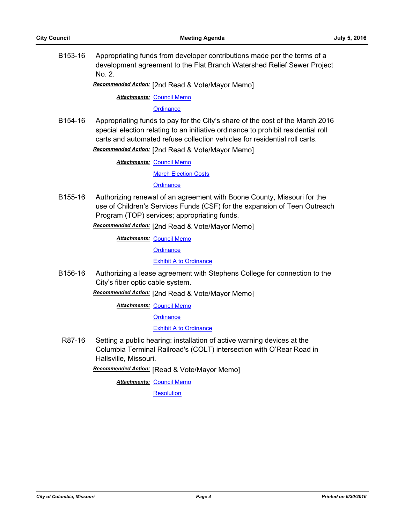B153-16 Appropriating funds from developer contributions made per the terms of a development agreement to the Flat Branch Watershed Relief Sewer Project No. 2.

*Recommended Action:* [2nd Read & Vote/Mayor Memo]

**Attachments: [Council Memo](http://gocolumbiamo.legistar.com/gateway.aspx?M=F&ID=d5f4aed6-09dd-474b-a86d-35fc6b55c4ad.docx)** 

**[Ordinance](http://gocolumbiamo.legistar.com/gateway.aspx?M=F&ID=55352c48-6598-41c2-9f1e-bfe48ab3a4ed.doc)** 

B154-16 Appropriating funds to pay for the City's share of the cost of the March 2016 special election relating to an initiative ordinance to prohibit residential roll carts and automated refuse collection vehicles for residential roll carts.

*Recommended Action:* [2nd Read & Vote/Mayor Memo]

**Attachments: [Council Memo](http://gocolumbiamo.legistar.com/gateway.aspx?M=F&ID=dee44813-3d8e-486f-b2e2-1251fa43c3e2.docx)** 

[March Election Costs](http://gocolumbiamo.legistar.com/gateway.aspx?M=F&ID=d081b7a2-a31b-446a-b9ae-649da1ef6970.pdf)

**[Ordinance](http://gocolumbiamo.legistar.com/gateway.aspx?M=F&ID=fb7cfc34-458f-4ee4-b19c-e134be29b8a7.doc)** 

B155-16 Authorizing renewal of an agreement with Boone County, Missouri for the use of Children's Services Funds (CSF) for the expansion of Teen Outreach Program (TOP) services; appropriating funds.

*Recommended Action:* [2nd Read & Vote/Mayor Memo]

**Attachments: [Council Memo](http://gocolumbiamo.legistar.com/gateway.aspx?M=F&ID=b956e2c0-dbec-4d64-9b54-e7b4fbc977c0.docx)** 

**[Ordinance](http://gocolumbiamo.legistar.com/gateway.aspx?M=F&ID=4ee66d7d-8746-46b4-95ed-c584b0361414.doc)** 

[Exhibit A to Ordinance](http://gocolumbiamo.legistar.com/gateway.aspx?M=F&ID=7ff61985-e3b4-4e3e-8f4f-2c7562e1474c.docx)

B156-16 Authorizing a lease agreement with Stephens College for connection to the City's fiber optic cable system.

*Recommended Action:* [2nd Read & Vote/Mayor Memo]

**Attachments: [Council Memo](http://gocolumbiamo.legistar.com/gateway.aspx?M=F&ID=658d6715-4143-4751-adaf-c97392b15d3e.docx)** 

**[Ordinance](http://gocolumbiamo.legistar.com/gateway.aspx?M=F&ID=dd76e896-1645-468c-83ee-2ff324298203.doc)** 

[Exhibit A to Ordinance](http://gocolumbiamo.legistar.com/gateway.aspx?M=F&ID=b47163a1-a6a1-483f-9055-e1dcfb6bc0f8.pdf)

R87-16 Setting a public hearing: installation of active warning devices at the Columbia Terminal Railroad's (COLT) intersection with O'Rear Road in Hallsville, Missouri.

*Recommended Action:* [Read & Vote/Mayor Memo]

**Attachments: [Council Memo](http://gocolumbiamo.legistar.com/gateway.aspx?M=F&ID=3d4e2af2-f688-458e-a043-7e491c511634.docx)** 

**[Resolution](http://gocolumbiamo.legistar.com/gateway.aspx?M=F&ID=a33d2f90-f71f-4929-824c-e70d14c1788f.doc)**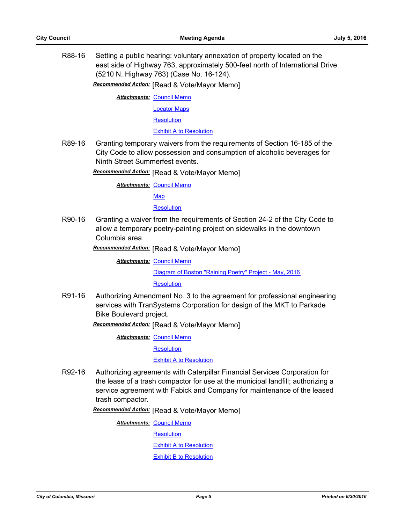R88-16 Setting a public hearing: voluntary annexation of property located on the east side of Highway 763, approximately 500-feet north of International Drive (5210 N. Highway 763) (Case No. 16-124).

*Recommended Action:* [Read & Vote/Mayor Memo]

**Attachments: [Council Memo](http://gocolumbiamo.legistar.com/gateway.aspx?M=F&ID=2113854e-99c7-4d32-a808-4e796c96e091.docx)** 

[Locator Maps](http://gocolumbiamo.legistar.com/gateway.aspx?M=F&ID=ceab92d1-8aa6-4804-99a4-53df280ba230.pdf)

**[Resolution](http://gocolumbiamo.legistar.com/gateway.aspx?M=F&ID=4ccba613-2796-4e9b-bb70-f67e18371c20.doc)** 

[Exhibit A to Resolution](http://gocolumbiamo.legistar.com/gateway.aspx?M=F&ID=97904bd9-2600-4b76-8109-3175676787bb.pdf)

R89-16 Granting temporary waivers from the requirements of Section 16-185 of the City Code to allow possession and consumption of alcoholic beverages for Ninth Street Summerfest events.

*Recommended Action:* [Read & Vote/Mayor Memo]

**Attachments: [Council Memo](http://gocolumbiamo.legistar.com/gateway.aspx?M=F&ID=8fcd4590-41f2-4d31-81f9-dbfd589d1467.docx)** [Map](http://gocolumbiamo.legistar.com/gateway.aspx?M=F&ID=535dfa87-a9a0-4d6f-909d-c9c75e2a9fa8.pdf)

**[Resolution](http://gocolumbiamo.legistar.com/gateway.aspx?M=F&ID=e5eeec0c-6ad7-480a-b0f9-98c65d77859b.doc)** 

R90-16 Granting a waiver from the requirements of Section 24-2 of the City Code to allow a temporary poetry-painting project on sidewalks in the downtown Columbia area.

*Recommended Action:* [Read & Vote/Mayor Memo]

**Attachments: [Council Memo](http://gocolumbiamo.legistar.com/gateway.aspx?M=F&ID=a5113444-3c20-4afc-86c9-6c655e232644.docx)** [Diagram of Boston "Raining Poetry" Project - May, 2016](http://gocolumbiamo.legistar.com/gateway.aspx?M=F&ID=4494f51e-3417-490e-8f9c-d83d8a13ffa9.docx) **[Resolution](http://gocolumbiamo.legistar.com/gateway.aspx?M=F&ID=3dabb178-d834-42cd-915b-1709a1f256c0.doc)** 

R91-16 Authorizing Amendment No. 3 to the agreement for professional engineering services with TranSystems Corporation for design of the MKT to Parkade Bike Boulevard project.

*Recommended Action:* [Read & Vote/Mayor Memo]

**Attachments: [Council Memo](http://gocolumbiamo.legistar.com/gateway.aspx?M=F&ID=0e8a24b2-2cad-470c-83c3-60d36811ca4a.docx)** 

**[Resolution](http://gocolumbiamo.legistar.com/gateway.aspx?M=F&ID=ac8cb1d7-d435-45d5-bd8e-26ac88b2f543.doc)** 

[Exhibit A to Resolution](http://gocolumbiamo.legistar.com/gateway.aspx?M=F&ID=29daf50d-6186-4e6d-bb71-a10d06023f63.pdf)

R92-16 Authorizing agreements with Caterpillar Financial Services Corporation for the lease of a trash compactor for use at the municipal landfill; authorizing a service agreement with Fabick and Company for maintenance of the leased trash compactor.

*Recommended Action:* [Read & Vote/Mayor Memo]

**Attachments: [Council Memo](http://gocolumbiamo.legistar.com/gateway.aspx?M=F&ID=ec71c8c6-5dd8-4ee9-969a-8919e1c4ea08.docx)** 

**[Resolution](http://gocolumbiamo.legistar.com/gateway.aspx?M=F&ID=ee00c7f6-f6cc-4861-9e7b-f49ef3017feb.doc)** 

[Exhibit A to Resolution](http://gocolumbiamo.legistar.com/gateway.aspx?M=F&ID=d75cb816-f4e5-4c9b-8847-f91127af7ceb.pdf)

[Exhibit B to Resolution](http://gocolumbiamo.legistar.com/gateway.aspx?M=F&ID=617d0523-45d9-4202-89b9-d5923463ffbe.pdf)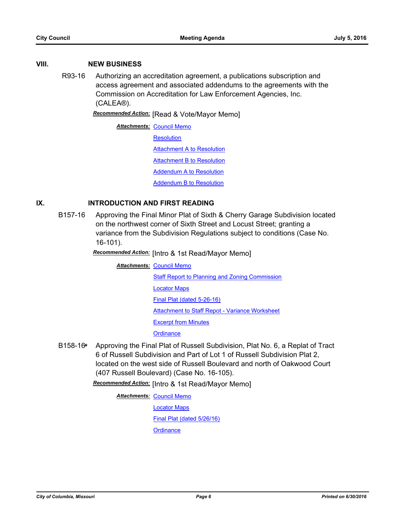### **VIII. NEW BUSINESS**

R93-16 Authorizing an accreditation agreement, a publications subscription and access agreement and associated addendums to the agreements with the Commission on Accreditation for Law Enforcement Agencies, Inc. (CALEA®).

*Recommended Action:* [Read & Vote/Mayor Memo]

**Attachments: [Council Memo](http://gocolumbiamo.legistar.com/gateway.aspx?M=F&ID=a71ad25d-cb65-486d-a215-3ab9842c48b9.docx) [Resolution](http://gocolumbiamo.legistar.com/gateway.aspx?M=F&ID=edc44a3e-81c5-4c4c-95e8-829a9ed6a90b.doc) [Attachment A to Resolution](http://gocolumbiamo.legistar.com/gateway.aspx?M=F&ID=dedfd0b3-b5a1-4f22-9cba-dc86b0b02ebc.pdf) [Attachment B to Resolution](http://gocolumbiamo.legistar.com/gateway.aspx?M=F&ID=a69ba24c-51b8-4840-9b8b-9b0f5c3af239.pdf)** [Addendum A to Resolution](http://gocolumbiamo.legistar.com/gateway.aspx?M=F&ID=3372b86b-5d30-4df9-8158-d2cd71c1f597.pdf) [Addendum B to Resolution](http://gocolumbiamo.legistar.com/gateway.aspx?M=F&ID=6f26ece8-4b78-4b22-b13e-eb06c02412ff.pdf)

### **IX. INTRODUCTION AND FIRST READING**

B157-16 Approving the Final Minor Plat of Sixth & Cherry Garage Subdivision located on the northwest corner of Sixth Street and Locust Street; granting a variance from the Subdivision Regulations subject to conditions (Case No. 16-101).

*Recommended Action:* [Intro & 1st Read/Mayor Memo]

**Attachments: [Council Memo](http://gocolumbiamo.legistar.com/gateway.aspx?M=F&ID=d7857b0b-2374-4b79-8ae7-57c6677356be.docx)** [Staff Report to Planning and Zoning Commission](http://gocolumbiamo.legistar.com/gateway.aspx?M=F&ID=53d2fe6c-f3c1-488b-a9eb-2bc0f8d26114.pdf) [Locator Maps](http://gocolumbiamo.legistar.com/gateway.aspx?M=F&ID=95b0ff36-1c36-4a65-a283-87a783b57469.pdf) [Final Plat \(dated 5-26-16\)](http://gocolumbiamo.legistar.com/gateway.aspx?M=F&ID=042b910f-170f-4f8d-abc8-fcaf4226e1d7.pdf) [Attachment to Staff Repot - Variance Worksheet](http://gocolumbiamo.legistar.com/gateway.aspx?M=F&ID=0f144c42-52b8-4ebf-b5c6-ce7b08e6834b.pdf) [Excerpt from Minutes](http://gocolumbiamo.legistar.com/gateway.aspx?M=F&ID=2029a355-f81c-42ee-b5bc-55695795acd8.docx) **[Ordinance](http://gocolumbiamo.legistar.com/gateway.aspx?M=F&ID=d69d8ae3-f89d-4fd7-83c0-936666bc877b.doc)** 

B158-16**\*** Approving the Final Plat of Russell Subdivision, Plat No. 6, a Replat of Tract 6 of Russell Subdivision and Part of Lot 1 of Russell Subdivision Plat 2, located on the west side of Russell Boulevard and north of Oakwood Court (407 Russell Boulevard) (Case No. 16-105).

*Recommended Action:* [Intro & 1st Read/Mayor Memo]

**Attachments: [Council Memo](http://gocolumbiamo.legistar.com/gateway.aspx?M=F&ID=1e0c617b-fe67-41ca-afca-38b354b29669.docx)** 

[Locator Maps](http://gocolumbiamo.legistar.com/gateway.aspx?M=F&ID=f3df116e-f617-459c-977c-773bc40d0124.pdf)

[Final Plat \(dated 5/26/16\)](http://gocolumbiamo.legistar.com/gateway.aspx?M=F&ID=bce36dc4-93ae-47cf-9bd7-770862dbc9f0.pdf)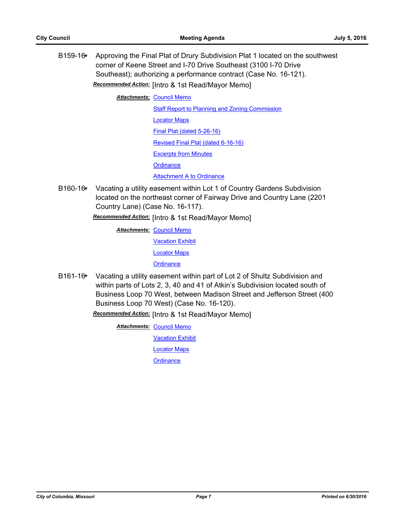B159-16**\*** Approving the Final Plat of Drury Subdivision Plat 1 located on the southwest corner of Keene Street and I-70 Drive Southeast (3100 I-70 Drive Southeast); authorizing a performance contract (Case No. 16-121).

*Recommended Action:* [Intro & 1st Read/Mayor Memo]

**Attachments: [Council Memo](http://gocolumbiamo.legistar.com/gateway.aspx?M=F&ID=25f497ab-f909-47dc-969c-774c70b8f9aa.docx)** 

[Staff Report to Planning and Zoning Commission](http://gocolumbiamo.legistar.com/gateway.aspx?M=F&ID=55c54921-6484-4a99-bc24-5de60787c7c5.pdf)

[Locator Maps](http://gocolumbiamo.legistar.com/gateway.aspx?M=F&ID=0c01101f-08aa-4d73-b30c-867c3a99c764.pdf)

[Final Plat \(dated 5-26-16\)](http://gocolumbiamo.legistar.com/gateway.aspx?M=F&ID=59e5afa4-5a0e-435d-99e4-f7fc2995c223.pdf)

[Revised Final Plat \(dated 6-16-16\)](http://gocolumbiamo.legistar.com/gateway.aspx?M=F&ID=ab2f36aa-c5bc-47f3-b3c5-05d0653c271e.pdf)

[Excerpts from Minutes](http://gocolumbiamo.legistar.com/gateway.aspx?M=F&ID=4c36f9eb-3669-463c-a843-a3e1aa925cab.docx)

**[Ordinance](http://gocolumbiamo.legistar.com/gateway.aspx?M=F&ID=34190221-d506-4558-b816-f8e8617e4918.doc)** 

### [Attachment A to Ordinance](http://gocolumbiamo.legistar.com/gateway.aspx?M=F&ID=38c4950c-c5aa-462e-8df8-ced25c7ede4d.pdf)

B160-16**\*** Vacating a utility easement within Lot 1 of Country Gardens Subdivision located on the northeast corner of Fairway Drive and Country Lane (2201 Country Lane) (Case No. 16-117).

*Recommended Action:* [Intro & 1st Read/Mayor Memo]

**Attachments: [Council Memo](http://gocolumbiamo.legistar.com/gateway.aspx?M=F&ID=e00f971d-b361-4c07-8a52-deb74a9120ac.docx)** 

[Vacation Exhibit](http://gocolumbiamo.legistar.com/gateway.aspx?M=F&ID=a705f52d-2d9a-4ae7-b2b3-a29f76b4f90f.pdf)

[Locator Maps](http://gocolumbiamo.legistar.com/gateway.aspx?M=F&ID=e9c7aa22-85f3-4877-a7ef-ec99beaff16a.pdf)

**[Ordinance](http://gocolumbiamo.legistar.com/gateway.aspx?M=F&ID=aae59722-ec0a-41d7-a2b9-727615e2c086.doc)** 

B161-16**\*** Vacating a utility easement within part of Lot 2 of Shultz Subdivision and within parts of Lots 2, 3, 40 and 41 of Atkin's Subdivision located south of Business Loop 70 West, between Madison Street and Jefferson Street (400 Business Loop 70 West) (Case No. 16-120).

*Recommended Action:* [Intro & 1st Read/Mayor Memo]

**Attachments: [Council Memo](http://gocolumbiamo.legistar.com/gateway.aspx?M=F&ID=bc47708d-61a2-46d0-b58a-8d523dca4b58.docx) [Vacation Exhibit](http://gocolumbiamo.legistar.com/gateway.aspx?M=F&ID=fd1d48db-ffaa-4e22-a663-73c5bca80934.pdf)** [Locator Maps](http://gocolumbiamo.legistar.com/gateway.aspx?M=F&ID=093870da-5aa9-4530-b98f-5c7514b155f0.pdf) **[Ordinance](http://gocolumbiamo.legistar.com/gateway.aspx?M=F&ID=32e5533f-947d-4ef3-abbd-3bbf50c7ed85.doc)**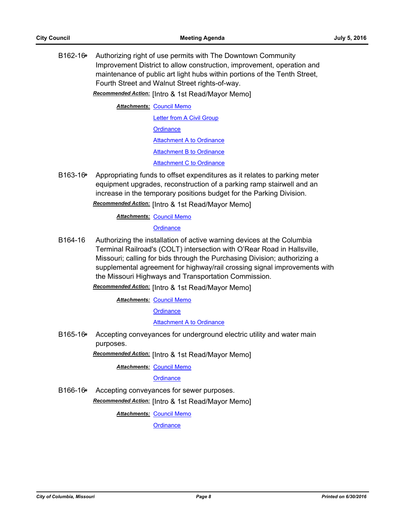B162-16**\*** Authorizing right of use permits with The Downtown Community Improvement District to allow construction, improvement, operation and maintenance of public art light hubs within portions of the Tenth Street, Fourth Street and Walnut Street rights-of-way.

*Recommended Action:* [Intro & 1st Read/Mayor Memo]

**Attachments: [Council Memo](http://gocolumbiamo.legistar.com/gateway.aspx?M=F&ID=f9a48faa-3812-4e9b-b033-29d65c7a567f.docx)** [Letter from A Civil Group](http://gocolumbiamo.legistar.com/gateway.aspx?M=F&ID=b0574d9b-24f8-4af5-afcc-ae3fe410561b.pdf) **[Ordinance](http://gocolumbiamo.legistar.com/gateway.aspx?M=F&ID=e88c63e7-83b8-49e9-8518-c82e1f989a77.doc)** [Attachment A to Ordinance](http://gocolumbiamo.legistar.com/gateway.aspx?M=F&ID=5eb5e68b-9d64-4b64-806f-572abc0d1d4b.pdf)

[Attachment B to Ordinance](http://gocolumbiamo.legistar.com/gateway.aspx?M=F&ID=7c4c547e-7c8d-4d12-9316-1203cafd21e3.pdf)

**[Attachment C to Ordinance](http://gocolumbiamo.legistar.com/gateway.aspx?M=F&ID=fd5164c1-8f06-4c05-89a2-648bca1cd5ba.pdf)** 

B163-16**\*** Appropriating funds to offset expenditures as it relates to parking meter equipment upgrades, reconstruction of a parking ramp stairwell and an increase in the temporary positions budget for the Parking Division. *Recommended Action:* [Intro & 1st Read/Mayor Memo]

## **Attachments: [Council Memo](http://gocolumbiamo.legistar.com/gateway.aspx?M=F&ID=93439d0d-145f-4733-92a1-e2835cf55a72.docx)**

### **[Ordinance](http://gocolumbiamo.legistar.com/gateway.aspx?M=F&ID=90b994da-fffb-4d59-b461-a299b0503370.doc)**

B164-16 Authorizing the installation of active warning devices at the Columbia Terminal Railroad's (COLT) intersection with O'Rear Road in Hallsville, Missouri; calling for bids through the Purchasing Division; authorizing a supplemental agreement for highway/rail crossing signal improvements with the Missouri Highways and Transportation Commission.

# *Recommended Action:* [Intro & 1st Read/Mayor Memo]

**Attachments: [Council Memo](http://gocolumbiamo.legistar.com/gateway.aspx?M=F&ID=15f7b62a-2964-4feb-b452-e2f3454a3110.docx)** 

**[Ordinance](http://gocolumbiamo.legistar.com/gateway.aspx?M=F&ID=2f5915f2-35ba-436b-93b0-39b05ee702a9.doc)** 

### [Attachment A to Ordinance](http://gocolumbiamo.legistar.com/gateway.aspx?M=F&ID=907d53a1-d7dd-4401-818c-6e723ce1817c.pdf)

B165-16**\*** Accepting conveyances for underground electric utility and water main purposes.

*Recommended Action:* [Intro & 1st Read/Mayor Memo]

**Attachments: [Council Memo](http://gocolumbiamo.legistar.com/gateway.aspx?M=F&ID=e91adbb6-229f-4083-ba33-ace2f75ee735.docx)** 

### **[Ordinance](http://gocolumbiamo.legistar.com/gateway.aspx?M=F&ID=4062f6ca-2032-4258-a575-d30d9f86ad24.doc)**

B166-16**\*** Accepting conveyances for sewer purposes. *Recommended Action:* [Intro & 1st Read/Mayor Memo]

**Attachments: [Council Memo](http://gocolumbiamo.legistar.com/gateway.aspx?M=F&ID=57cd2b74-69c8-462b-b188-afaf133a787e.docx)**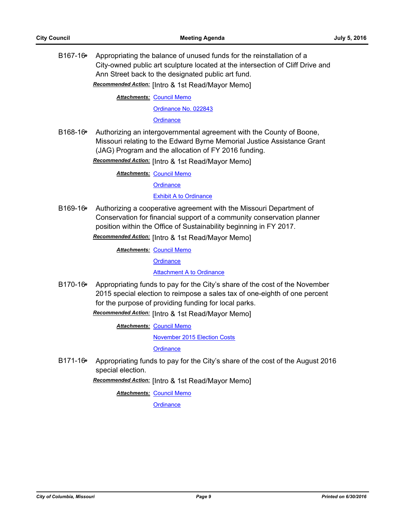B167-16**\*** Appropriating the balance of unused funds for the reinstallation of a City-owned public art sculpture located at the intersection of Cliff Drive and Ann Street back to the designated public art fund.

*Recommended Action:* [Intro & 1st Read/Mayor Memo]

**Attachments: [Council Memo](http://gocolumbiamo.legistar.com/gateway.aspx?M=F&ID=f037cf45-9467-40d6-8005-fb1cb4249df3.docx)** [Ordinance No. 022843](http://gocolumbiamo.legistar.com/gateway.aspx?M=F&ID=647d319f-7814-46b1-bc02-f8af2c1ab528.pdf)

**[Ordinance](http://gocolumbiamo.legistar.com/gateway.aspx?M=F&ID=4e98fd06-7f33-426d-a727-c348f6ee130c.doc)** 

B168-16**\*** Authorizing an intergovernmental agreement with the County of Boone, Missouri relating to the Edward Byrne Memorial Justice Assistance Grant (JAG) Program and the allocation of FY 2016 funding.

*Recommended Action:* [Intro & 1st Read/Mayor Memo]

**Attachments: [Council Memo](http://gocolumbiamo.legistar.com/gateway.aspx?M=F&ID=2122c739-8a80-4cf6-93ec-139ff14087d9.docx)** 

**[Ordinance](http://gocolumbiamo.legistar.com/gateway.aspx?M=F&ID=a0e98754-e58a-44a5-81b7-00c81140a564.doc)** 

**[Exhibit A to Ordinance](http://gocolumbiamo.legistar.com/gateway.aspx?M=F&ID=f5cbfecf-ddf0-4c5c-b4bc-2e58bee77403.pdf)** 

B169-16**\*** Authorizing a cooperative agreement with the Missouri Department of Conservation for financial support of a community conservation planner position within the Office of Sustainability beginning in FY 2017.

*Recommended Action:* [Intro & 1st Read/Mayor Memo]

**Attachments: [Council Memo](http://gocolumbiamo.legistar.com/gateway.aspx?M=F&ID=a16d0e24-91df-4df8-84b4-8b72a48bdc18.docx)** 

**[Ordinance](http://gocolumbiamo.legistar.com/gateway.aspx?M=F&ID=990c8738-968f-456b-8728-1c8e9ea4bb5f.doc)** 

[Attachment A to Ordinance](http://gocolumbiamo.legistar.com/gateway.aspx?M=F&ID=4395e848-017b-4577-8ad6-4ad85c9fd129.pdf)

B170-16**\*** Appropriating funds to pay for the City's share of the cost of the November 2015 special election to reimpose a sales tax of one-eighth of one percent for the purpose of providing funding for local parks.

*Recommended Action:* [Intro & 1st Read/Mayor Memo]

**Attachments: [Council Memo](http://gocolumbiamo.legistar.com/gateway.aspx?M=F&ID=39a023cc-103b-482e-a979-d1d415c5db50.docx)** 

[November 2015 Election Costs](http://gocolumbiamo.legistar.com/gateway.aspx?M=F&ID=b5413994-b17b-4a2f-baf1-bbee11f349fa.pdf)

**[Ordinance](http://gocolumbiamo.legistar.com/gateway.aspx?M=F&ID=6503773d-7daa-42ae-96ee-ba38893b346e.doc)** 

B171-16**\*** Appropriating funds to pay for the City's share of the cost of the August 2016 special election.

*Recommended Action:* [Intro & 1st Read/Mayor Memo]

**Attachments: [Council Memo](http://gocolumbiamo.legistar.com/gateway.aspx?M=F&ID=572cd8da-1ac8-4e64-8db3-248d45f78bdd.docx)**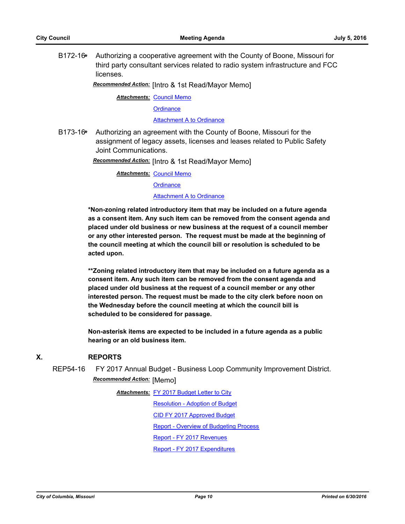B172-16**\*** Authorizing a cooperative agreement with the County of Boone, Missouri for third party consultant services related to radio system infrastructure and FCC licenses.

*Recommended Action:* [Intro & 1st Read/Mayor Memo]

**Attachments: [Council Memo](http://gocolumbiamo.legistar.com/gateway.aspx?M=F&ID=165655bd-1678-4063-aa63-045d1aba758a.docx)** 

**[Ordinance](http://gocolumbiamo.legistar.com/gateway.aspx?M=F&ID=d3a2e470-e908-4868-9847-154ddba53940.doc)** 

[Attachment A to Ordinance](http://gocolumbiamo.legistar.com/gateway.aspx?M=F&ID=a8557644-ae8f-4f1a-babb-cc38645d1aee.pdf)

B173-16**\*** Authorizing an agreement with the County of Boone, Missouri for the assignment of legacy assets, licenses and leases related to Public Safety Joint Communications.

*Recommended Action:* [Intro & 1st Read/Mayor Memo]

**Attachments: [Council Memo](http://gocolumbiamo.legistar.com/gateway.aspx?M=F&ID=741b2c6d-ffcc-48bf-8474-4e83b5b20c75.docx)** 

**[Ordinance](http://gocolumbiamo.legistar.com/gateway.aspx?M=F&ID=5d7285ff-faf4-49c1-bf1f-912342d8acb6.doc)** 

#### **[Attachment A to Ordinance](http://gocolumbiamo.legistar.com/gateway.aspx?M=F&ID=5d15ce41-003d-4c46-9121-5c296eae2036.pdf)**

**\*Non-zoning related introductory item that may be included on a future agenda as a consent item. Any such item can be removed from the consent agenda and placed under old business or new business at the request of a council member or any other interested person. The request must be made at the beginning of the council meeting at which the council bill or resolution is scheduled to be acted upon.** 

**\*\*Zoning related introductory item that may be included on a future agenda as a consent item. Any such item can be removed from the consent agenda and placed under old business at the request of a council member or any other interested person. The request must be made to the city clerk before noon on the Wednesday before the council meeting at which the council bill is scheduled to be considered for passage.**

**Non-asterisk items are expected to be included in a future agenda as a public hearing or an old business item.**

### **X. REPORTS**

REP54-16 FY 2017 Annual Budget - Business Loop Community Improvement District. *Recommended Action:* [Memo]

> Attachments: [FY 2017 Budget Letter to City](http://gocolumbiamo.legistar.com/gateway.aspx?M=F&ID=e9544d5d-f622-44a5-b0f0-3b546089d778.pdf) [Resolution - Adoption of Budget](http://gocolumbiamo.legistar.com/gateway.aspx?M=F&ID=bcf769dd-f132-4e4f-913f-c844d4bf83d8.pdf) [CID FY 2017 Approved Budget](http://gocolumbiamo.legistar.com/gateway.aspx?M=F&ID=cfa286ef-b905-4dbb-9d34-d566d33c4367.pdf) [Report - Overview of Budgeting Process](http://gocolumbiamo.legistar.com/gateway.aspx?M=F&ID=28fc51a7-f23c-43f3-8722-33e778ca7f13.pdf) [Report - FY 2017 Revenues](http://gocolumbiamo.legistar.com/gateway.aspx?M=F&ID=db159555-101c-415c-9bf4-3ab541d801be.pdf) [Report - FY 2017 Expenditures](http://gocolumbiamo.legistar.com/gateway.aspx?M=F&ID=1adebdc3-070d-41ee-bbf1-6f04df2c0aa4.pdf)